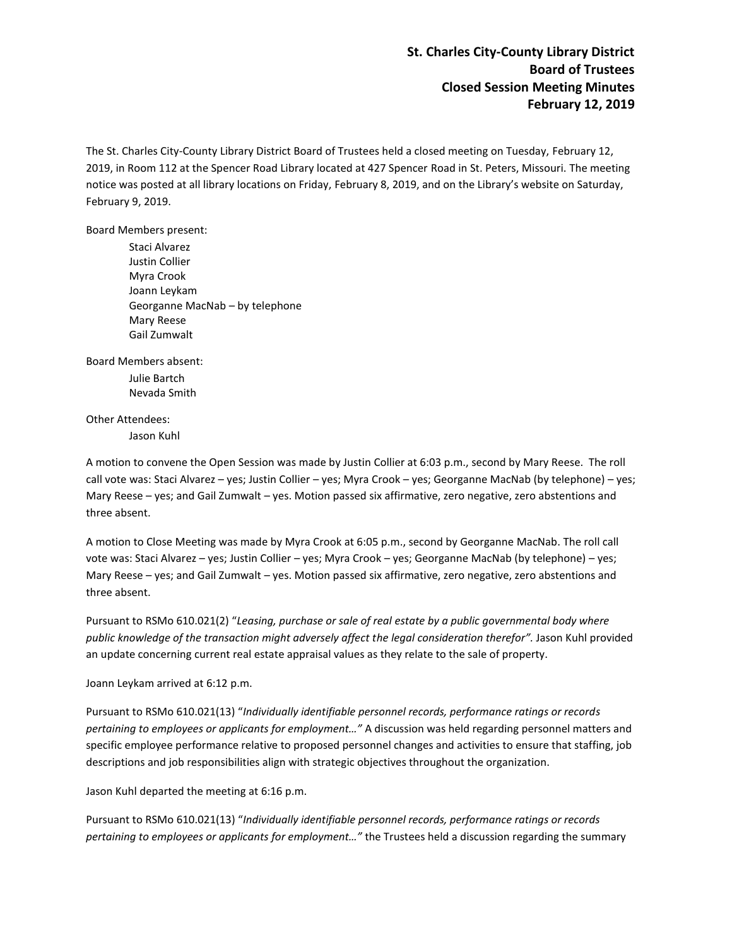**St. Charles City-County Library District Board of Trustees Closed Session Meeting Minutes February 12, 2019**

The St. Charles City-County Library District Board of Trustees held a closed meeting on Tuesday, February 12, 2019, in Room 112 at the Spencer Road Library located at 427 Spencer Road in St. Peters, Missouri. The meeting notice was posted at all library locations on Friday, February 8, 2019, and on the Library's website on Saturday, February 9, 2019.

Board Members present:

Staci Alvarez Justin Collier Myra Crook Joann Leykam Georganne MacNab – by telephone Mary Reese Gail Zumwalt

Board Members absent:

Julie Bartch Nevada Smith

Other Attendees:

Jason Kuhl

A motion to convene the Open Session was made by Justin Collier at 6:03 p.m., second by Mary Reese. The roll call vote was: Staci Alvarez – yes; Justin Collier – yes; Myra Crook – yes; Georganne MacNab (by telephone) – yes; Mary Reese – yes; and Gail Zumwalt – yes. Motion passed six affirmative, zero negative, zero abstentions and three absent.

A motion to Close Meeting was made by Myra Crook at 6:05 p.m., second by Georganne MacNab. The roll call vote was: Staci Alvarez – yes; Justin Collier – yes; Myra Crook – yes; Georganne MacNab (by telephone) – yes; Mary Reese – yes; and Gail Zumwalt – yes. Motion passed six affirmative, zero negative, zero abstentions and three absent.

Pursuant to RSMo 610.021(2) "*Leasing, purchase or sale of real estate by a public governmental body where public knowledge of the transaction might adversely affect the legal consideration therefor".* Jason Kuhl provided an update concerning current real estate appraisal values as they relate to the sale of property.

Joann Leykam arrived at 6:12 p.m.

Pursuant to RSMo 610.021(13) "*Individually identifiable personnel records, performance ratings or records pertaining to employees or applicants for employment…"* A discussion was held regarding personnel matters and specific employee performance relative to proposed personnel changes and activities to ensure that staffing, job descriptions and job responsibilities align with strategic objectives throughout the organization.

Jason Kuhl departed the meeting at 6:16 p.m.

Pursuant to RSMo 610.021(13) "*Individually identifiable personnel records, performance ratings or records pertaining to employees or applicants for employment…"* the Trustees held a discussion regarding the summary